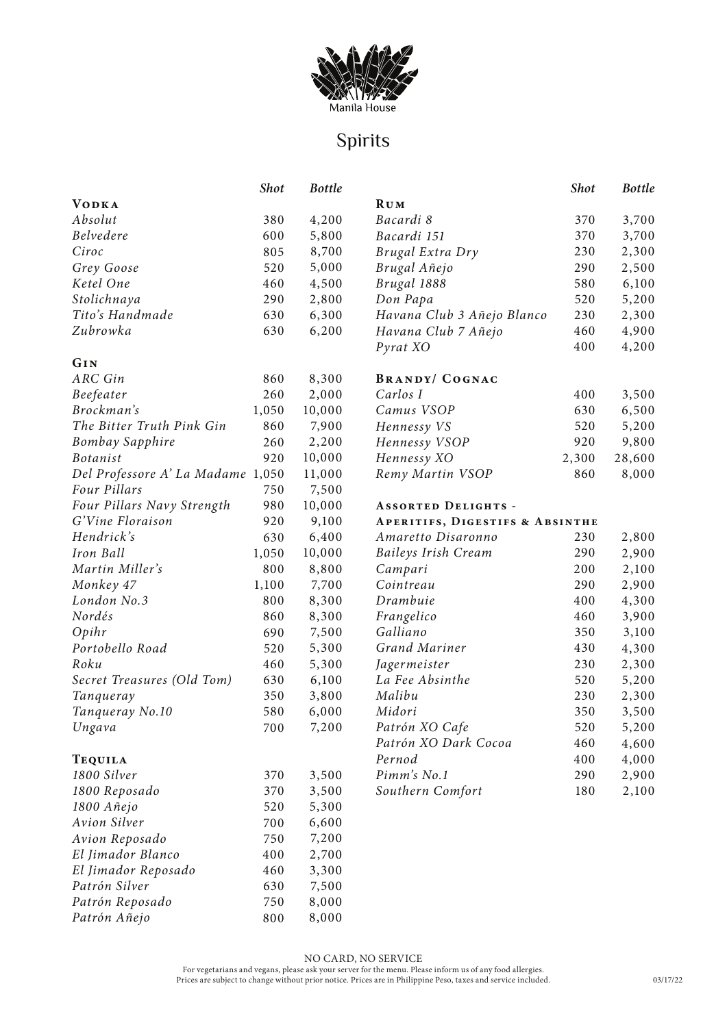

# Spirits

|                                   | <b>Shot</b> | <b>Bottle</b> |                                            | <b>Shot</b> | <b>Bottle</b> |
|-----------------------------------|-------------|---------------|--------------------------------------------|-------------|---------------|
| <b>VODKA</b>                      |             |               | <b>RUM</b>                                 |             |               |
| Absolut                           | 380         | 4,200         | Bacardi 8                                  | 370         | 3,700         |
| <b>Belvedere</b>                  | 600         | 5,800         | Bacardi 151                                | 370         | 3,700         |
| Ciroc                             | 805         | 8,700         | Brugal Extra Dry                           | 230         | 2,300         |
| Grey Goose                        | 520         | 5,000         | Brugal Añejo                               | 290         | 2,500         |
| Ketel One                         | 460         | 4,500         | Brugal 1888                                | 580         | 6,100         |
| Stolichnaya                       | 290         | 2,800         | Don Papa                                   | 520         | 5,200         |
| Tito's Handmade                   | 630         | 6,300         | Havana Club 3 Añejo Blanco                 | 230         | 2,300         |
| Zubrowka                          | 630         | 6,200         | Havana Club 7 Añejo                        | 460         | 4,900         |
|                                   |             |               | Pyrat XO                                   | 400         | 4,200         |
| GIN                               |             |               |                                            |             |               |
| ARC Gin                           | 860         | 8,300         | <b>BRANDY/ COGNAC</b>                      |             |               |
| Beefeater                         | 260         | 2,000         | Carlos I                                   | 400         | 3,500         |
| Brockman's                        | 1,050       | 10,000        | Camus VSOP                                 | 630         | 6,500         |
| The Bitter Truth Pink Gin         | 860         | 7,900         | Hennessy VS                                | 520         | 5,200         |
| <b>Bombay Sapphire</b>            | 260         | 2,200         | Hennessy VSOP                              | 920         | 9,800         |
| <b>Botanist</b>                   | 920         | 10,000        | Hennessy XO                                | 2,300       | 28,600        |
| Del Professore A' La Madame 1,050 |             | 11,000        | Remy Martin VSOP                           | 860         | 8,000         |
| Four Pillars                      | 750         | 7,500         |                                            |             |               |
| Four Pillars Navy Strength        | 980         | 10,000        | <b>ASSORTED DELIGHTS -</b>                 |             |               |
| G'Vine Floraison                  | 920         | 9,100         | <b>APERITIFS, DIGESTIFS &amp; ABSINTHE</b> |             |               |
| Hendrick's                        | 630         | 6,400         | Amaretto Disaronno                         | 230         | 2,800         |
| Iron Ball                         | 1,050       | 10,000        | <b>Baileys Irish Cream</b>                 | 290         | 2,900         |
| Martin Miller's                   | 800         | 8,800         | Campari                                    | 200         | 2,100         |
| Monkey 47                         | 1,100       | 7,700         | Cointreau                                  | 290         | 2,900         |
| London No.3                       | 800         | 8,300         | Drambuie                                   | 400         | 4,300         |
| Nordés                            | 860         | 8,300         | Frangelico                                 | 460         | 3,900         |
| Opihr                             | 690         | 7,500         | Galliano                                   | 350         | 3,100         |
| Portobello Road                   | 520         | 5,300         | Grand Mariner                              | 430         | 4,300         |
| Roku                              | 460         | 5,300         | Jagermeister                               | 230         | 2,300         |
| Secret Treasures (Old Tom)        | 630         | 6,100         | La Fee Absinthe                            | 520         | 5,200         |
| Tanqueray                         | 350         | 3,800         | Malibu                                     | 230         | 2,300         |
| Tanqueray No.10                   | 580         | 6,000         | Midori                                     | 350         | 3,500         |
| Ungava                            | 700         | 7,200         | Patrón XO Cafe                             | 520         | 5,200         |
|                                   |             |               | Patrón XO Dark Cocoa                       | 460         | 4,600         |
| <b>TEQUILA</b>                    |             |               | Pernod                                     | 400         | 4,000         |
| 1800 Silver                       | 370         | 3,500         | Pimm's No.1                                | 290         | 2,900         |
| 1800 Reposado                     | 370         | 3,500         | Southern Comfort                           | 180         | 2,100         |
| 1800 Añejo                        | 520         | 5,300         |                                            |             |               |
| Avion Silver                      | 700         | 6,600         |                                            |             |               |
| Avion Reposado                    | 750         | 7,200         |                                            |             |               |
| El Jimador Blanco                 | 400         | 2,700         |                                            |             |               |
| El Jimador Reposado               | 460         | 3,300         |                                            |             |               |
| Patrón Silver                     | 630         | 7,500         |                                            |             |               |
| Patrón Reposado                   | 750         | 8,000         |                                            |             |               |
| Patrón Añejo                      | 800         | 8,000         |                                            |             |               |

NO CARD, NO SERVICE For vegetarians and vegans, please ask your server for the menu. Please inform us of any food allergies. Prices are subject to change without prior notice. Prices are in Philippine Peso, taxes and service included.

*Patrón Añejo*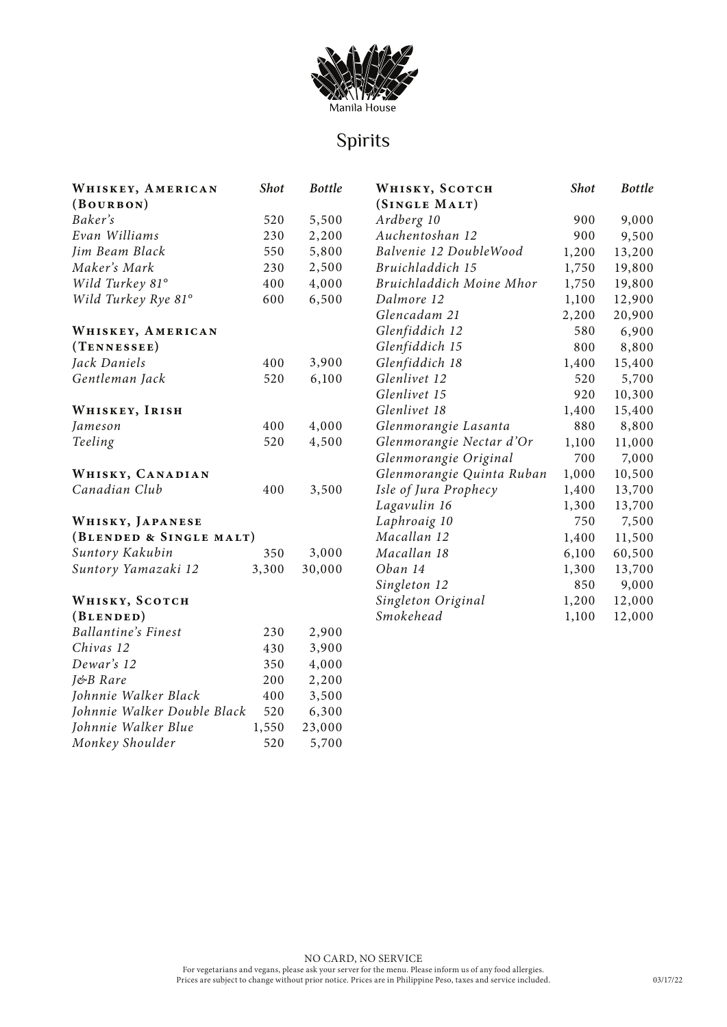

# Spirits

| WHISKEY, AMERICAN           | <b>Shot</b> | <b>Bottle</b> | WHISKY, SCOTCH            | <b>Shot</b> | <b>Bottle</b> |
|-----------------------------|-------------|---------------|---------------------------|-------------|---------------|
| (BouRBON)                   |             |               | (SINGLE MALT)             |             |               |
| Baker's                     | 520         | 5,500         | Ardberg 10                | 900         | 9,000         |
| Evan Williams               | 230         | 2,200         | Auchentoshan 12           | 900         | 9,500         |
| Jim Beam Black              | 550         | 5,800         | Balvenie 12 DoubleWood    | 1,200       | 13,200        |
| Maker's Mark                | 230         | 2,500         | Bruichladdich 15          | 1,750       | 19,800        |
| Wild Turkey 81°             | 400         | 4,000         | Bruichladdich Moine Mhor  | 1,750       | 19,800        |
| Wild Turkey Rye 81°         | 600         | 6,500         | Dalmore 12                | 1,100       | 12,900        |
|                             |             |               | Glencadam 21              | 2,200       | 20,900        |
| WHISKEY, AMERICAN           |             |               | Glenfiddich 12            | 580         | 6,900         |
| (TENNESSEE)                 |             |               | Glenfiddich 15            | 800         | 8,800         |
| Jack Daniels                | 400         | 3,900         | Glenfiddich 18            | 1,400       | 15,400        |
| Gentleman Jack              | 520         | 6,100         | Glenlivet 12              | 520         | 5,700         |
|                             |             |               | Glenlivet 15              | 920         | 10,300        |
| WHISKEY, IRISH              |             |               | Glenlivet 18              | 1,400       | 15,400        |
| Jameson                     | 400         | 4,000         | Glenmorangie Lasanta      | 880         | 8,800         |
| Teeling                     | 520         | 4,500         | Glenmorangie Nectar d'Or  | 1,100       | 11,000        |
|                             |             |               | Glenmorangie Original     | 700         | 7,000         |
| WHISKY, CANADIAN            |             |               | Glenmorangie Quinta Ruban | 1,000       | 10,500        |
| Canadian Club               | 400         | 3,500         | Isle of Jura Prophecy     | 1,400       | 13,700        |
|                             |             |               | Lagavulin 16              | 1,300       | 13,700        |
| WHISKY, JAPANESE            |             |               | Laphroaig 10              | 750         | 7,500         |
| (BLENDED & SINGLE MALT)     |             |               | Macallan 12               | 1,400       | 11,500        |
| Suntory Kakubin             | 350         | 3,000         | Macallan 18               | 6,100       | 60,500        |
| Suntory Yamazaki 12         | 3,300       | 30,000        | Oban 14                   | 1,300       | 13,700        |
|                             |             |               | Singleton 12              | 850         | 9,000         |
| WHISKY, SCOTCH              |             |               | Singleton Original        | 1,200       | 12,000        |
| (BLENDED)                   |             |               | Smokehead                 | 1,100       | 12,000        |
| <b>Ballantine's Finest</b>  | 230         | 2,900         |                           |             |               |
| Chivas 12                   | 430         | 3,900         |                           |             |               |
| Dewar's 12                  | 350         | 4,000         |                           |             |               |
| J&B Rare                    | 200         | 2,200         |                           |             |               |
| Johnnie Walker Black        | 400         | 3,500         |                           |             |               |
| Johnnie Walker Double Black | 520         | 6,300         |                           |             |               |
| Johnnie Walker Blue         | 1,550       | 23,000        |                           |             |               |
| Monkey Shoulder             | 520         | 5,700         |                           |             |               |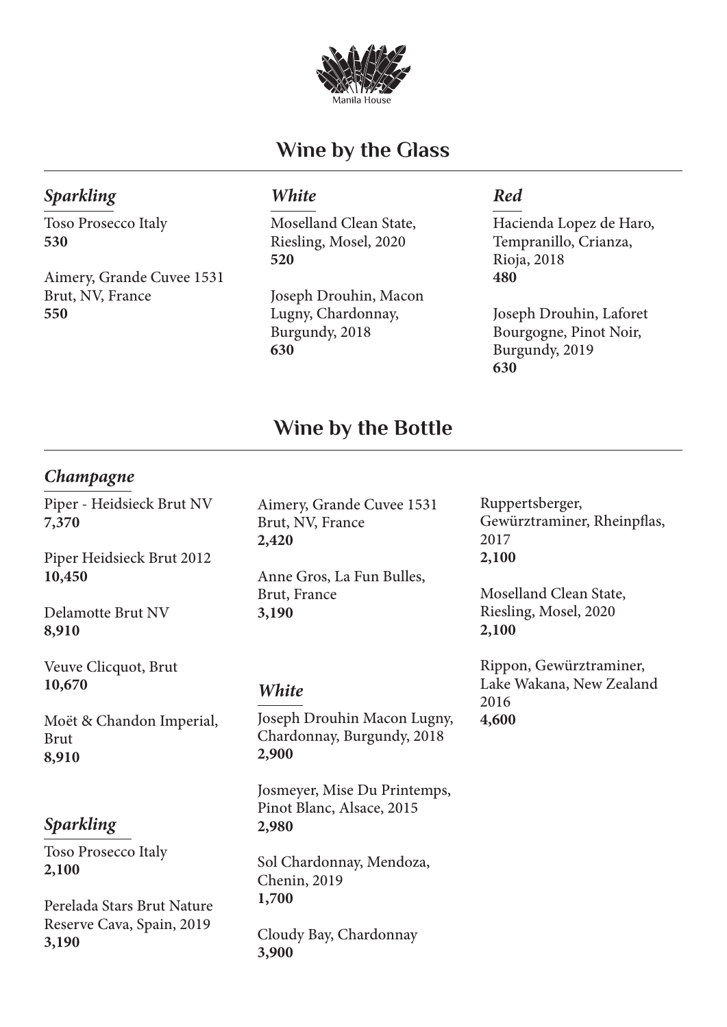

# **Wine by the Glass**

## *Sparkling*

Toso Prosecco Italy **530**

Aimery, Grande Cuvee 1531 Brut, NV, France **550**

## *White*

Moselland Clean State, Riesling, Mosel, 2020 **520**

Joseph Drouhin, Macon Lugny, Chardonnay, Burgundy, 2018 **630**

## *Red*

Hacienda Lopez de Haro, Tempranillo, Crianza, Rioja, 2018 **480**

Joseph Drouhin, Laforet Bourgogne, Pinot Noir, Burgundy, 2019 **630**

## **Wine by the Bottle**

## *Champagne*

Piper - Heidsieck Brut NV **7,370**

Piper Heidsieck Brut 2012 **10,450**

Delamotte Brut NV **8,910**

Veuve Clicquot, Brut **10,670**

Moët & Chandon Imperial, Brut **8,910**

## *Sparkling*

Toso Prosecco Italy **2,100**

Perelada Stars Brut Nature Reserve Cava, Spain, 2019 **3,190**

Aimery, Grande Cuvee 1531 Brut, NV, France **2,420**

Anne Gros, La Fun Bulles, Brut, France **3,190**

## *White*

Joseph Drouhin Macon Lugny, Chardonnay, Burgundy, 2018 **2,900**

Josmeyer, Mise Du Printemps, Pinot Blanc, Alsace, 2015 **2,980**

Sol Chardonnay, Mendoza, Chenin, 2019 **1,700**

Cloudy Bay, Chardonnay **3,900**

Ruppertsberger, Gewürztraminer, Rheinpflas, 2017 **2,100**

Moselland Clean State, Riesling, Mosel, 2020 **2,100**

Rippon, Gewürztraminer, Lake Wakana, New Zealand 2016 **4,600**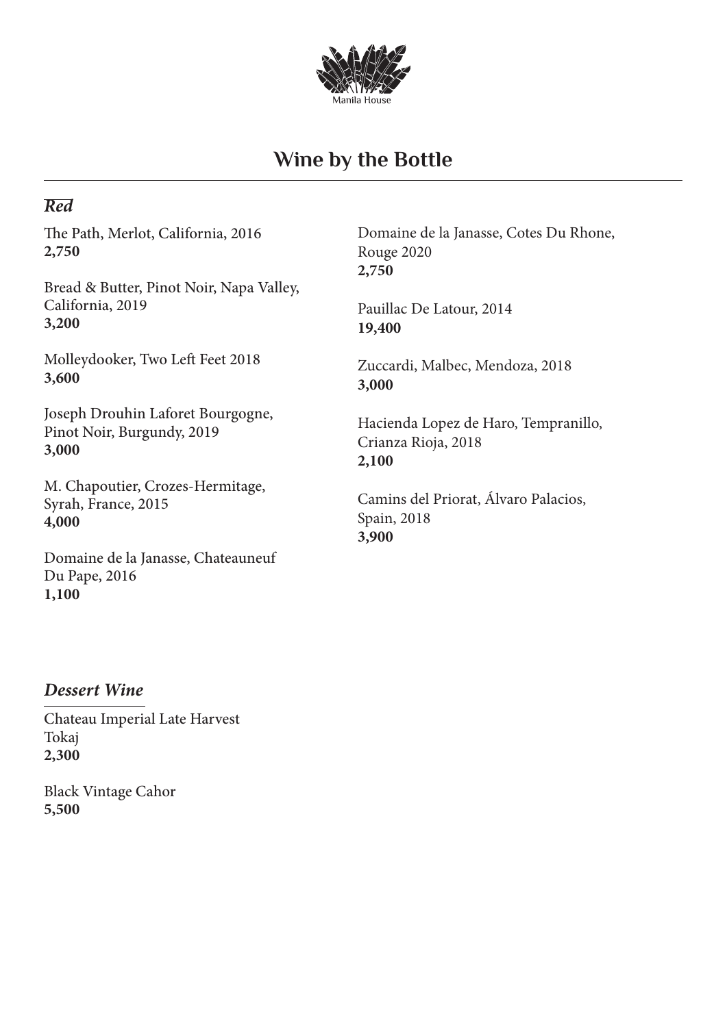

# **Wine by the Bottle**

## *Red*

The Path, Merlot, California, 2016 **2,750**

Bread & Butter, Pinot Noir, Napa Valley, California, 2019 **3,200**

Molleydooker, Two Left Feet 2018 **3,600**

Joseph Drouhin Laforet Bourgogne, Pinot Noir, Burgundy, 2019 **3,000**

M. Chapoutier, Crozes-Hermitage, Syrah, France, 2015 **4,000**

Domaine de la Janasse, Chateauneuf Du Pape, 2016 **1,100**

Domaine de la Janasse, Cotes Du Rhone, Rouge 2020 **2,750**

Pauillac De Latour, 2014 **19,400**

Zuccardi, Malbec, Mendoza, 2018 **3,000**

Hacienda Lopez de Haro, Tempranillo, Crianza Rioja, 2018 **2,100**

Camins del Priorat, Álvaro Palacios, Spain, 2018 **3,900**

## *Dessert Wine*

Chateau Imperial Late Harvest Tokaj **2,300**

Black Vintage Cahor **5,500**